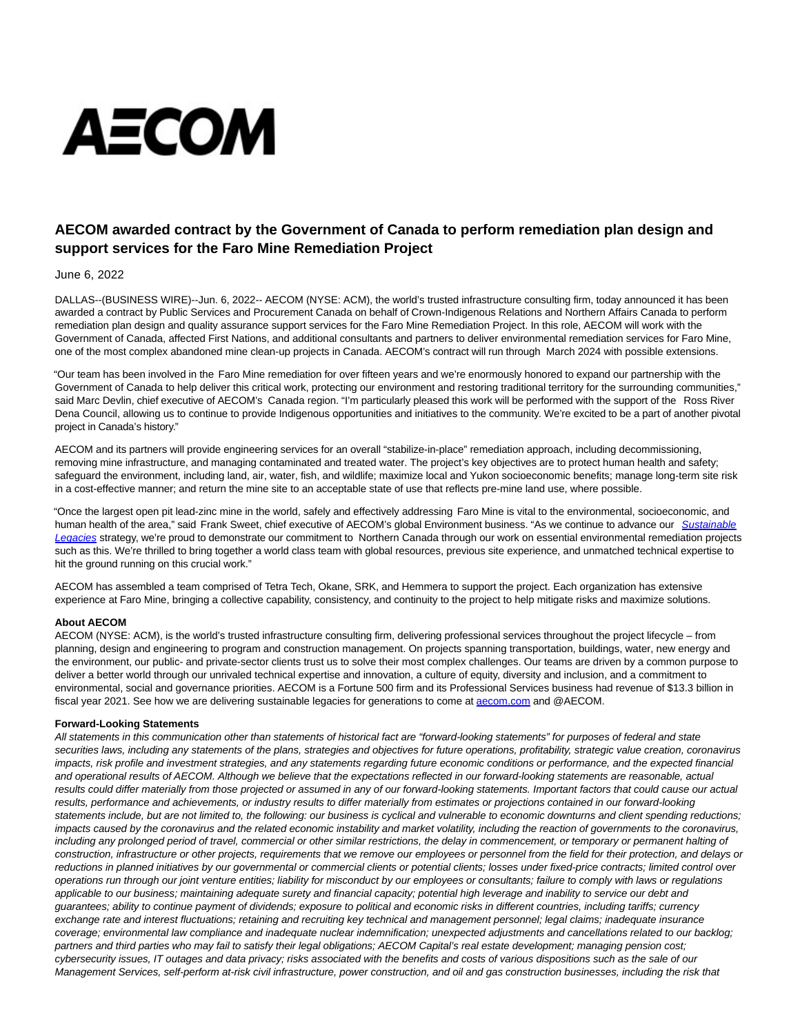# AECOM

# **AECOM awarded contract by the Government of Canada to perform remediation plan design and support services for the Faro Mine Remediation Project**

## June 6, 2022

DALLAS--(BUSINESS WIRE)--Jun. 6, 2022-- AECOM (NYSE: ACM), the world's trusted infrastructure consulting firm, today announced it has been awarded a contract by Public Services and Procurement Canada on behalf of Crown-Indigenous Relations and Northern Affairs Canada to perform remediation plan design and quality assurance support services for the Faro Mine Remediation Project. In this role, AECOM will work with the Government of Canada, affected First Nations, and additional consultants and partners to deliver environmental remediation services for Faro Mine, one of the most complex abandoned mine clean-up projects in Canada. AECOM's contract will run through March 2024 with possible extensions.

"Our team has been involved in the Faro Mine remediation for over fifteen years and we're enormously honored to expand our partnership with the Government of Canada to help deliver this critical work, protecting our environment and restoring traditional territory for the surrounding communities," said Marc Devlin, chief executive of AECOM's Canada region. "I'm particularly pleased this work will be performed with the support of the Ross River Dena Council, allowing us to continue to provide Indigenous opportunities and initiatives to the community. We're excited to be a part of another pivotal project in Canada's history."

AECOM and its partners will provide engineering services for an overall "stabilize-in-place" remediation approach, including decommissioning, removing mine infrastructure, and managing contaminated and treated water. The project's key objectives are to protect human health and safety; safeguard the environment, including land, air, water, fish, and wildlife; maximize local and Yukon socioeconomic benefits; manage long-term site risk in a cost-effective manner; and return the mine site to an acceptable state of use that reflects pre-mine land use, where possible.

"Once the largest open pit lead-zinc mine in the world, safely and effectively addressing Faro Mine is vital to the environmental, socioeconomic, and human health of the area," said Frank Sweet, chief executive of AECOM's global Environment business. "As we continue to advance our [Sustainable](https://cts.businesswire.com/ct/CT?id=smartlink&url=https%3A%2F%2Fpublications.aecom.com%2Fsustainable-legacies%2F&esheet=52738307&newsitemid=20220603005055&lan=en-US&anchor=Sustainable+Legacies&index=1&md5=952ba39706d49fe357dd7633925d3ee0) Legacies strategy, we're proud to demonstrate our commitment to Northern Canada through our work on essential environmental remediation projects such as this. We're thrilled to bring together a world class team with global resources, previous site experience, and unmatched technical expertise to hit the ground running on this crucial work."

AECOM has assembled a team comprised of Tetra Tech, Okane, SRK, and Hemmera to support the project. Each organization has extensive experience at Faro Mine, bringing a collective capability, consistency, and continuity to the project to help mitigate risks and maximize solutions.

### **About AECOM**

AECOM (NYSE: ACM), is the world's trusted infrastructure consulting firm, delivering professional services throughout the project lifecycle – from planning, design and engineering to program and construction management. On projects spanning transportation, buildings, water, new energy and the environment, our public- and private-sector clients trust us to solve their most complex challenges. Our teams are driven by a common purpose to deliver a better world through our unrivaled technical expertise and innovation, a culture of equity, diversity and inclusion, and a commitment to environmental, social and governance priorities. AECOM is a Fortune 500 firm and its Professional Services business had revenue of \$13.3 billion in fiscal year 2021. See how we are delivering sustainable legacies for generations to come at [aecom.com a](http://aecom.com/)nd @AECOM.

### **Forward-Looking Statements**

All statements in this communication other than statements of historical fact are "forward-looking statements" for purposes of federal and state securities laws, including any statements of the plans, strategies and objectives for future operations, profitability, strategic value creation, coronavirus impacts, risk profile and investment strategies, and any statements regarding future economic conditions or performance, and the expected financial and operational results of AECOM. Although we believe that the expectations reflected in our forward-looking statements are reasonable, actual results could differ materially from those projected or assumed in any of our forward-looking statements. Important factors that could cause our actual results, performance and achievements, or industry results to differ materially from estimates or projections contained in our forward-looking statements include, but are not limited to, the following: our business is cyclical and vulnerable to economic downturns and client spending reductions; impacts caused by the coronavirus and the related economic instability and market volatility, including the reaction of governments to the coronavirus, including any prolonged period of travel, commercial or other similar restrictions, the delay in commencement, or temporary or permanent halting of construction, infrastructure or other projects, requirements that we remove our employees or personnel from the field for their protection, and delays or reductions in planned initiatives by our governmental or commercial clients or potential clients; losses under fixed-price contracts; limited control over operations run through our joint venture entities; liability for misconduct by our employees or consultants; failure to comply with laws or regulations applicable to our business; maintaining adequate surety and financial capacity; potential high leverage and inability to service our debt and guarantees; ability to continue payment of dividends; exposure to political and economic risks in different countries, including tariffs; currency exchange rate and interest fluctuations; retaining and recruiting key technical and management personnel; legal claims; inadequate insurance coverage; environmental law compliance and inadequate nuclear indemnification; unexpected adjustments and cancellations related to our backlog; partners and third parties who may fail to satisfy their legal obligations; AECOM Capital's real estate development; managing pension cost; cybersecurity issues, IT outages and data privacy; risks associated with the benefits and costs of various dispositions such as the sale of our Management Services, self-perform at-risk civil infrastructure, power construction, and oil and gas construction businesses, including the risk that